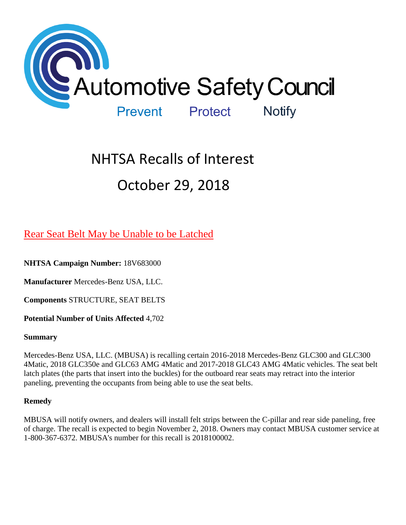

# NHTSA Recalls of Interest October 29, 2018

# [Rear Seat Belt May be Unable to be Latched](https://www.nhtsa.gov/recalls?nhtsaId=18V683#recalls650)

**NHTSA Campaign Number:** 18V683000

**Manufacturer** Mercedes-Benz USA, LLC.

**Components** STRUCTURE, SEAT BELTS

**Potential Number of Units Affected** 4,702

#### **Summary**

Mercedes-Benz USA, LLC. (MBUSA) is recalling certain 2016-2018 Mercedes-Benz GLC300 and GLC300 4Matic, 2018 GLC350e and GLC63 AMG 4Matic and 2017-2018 GLC43 AMG 4Matic vehicles. The seat belt latch plates (the parts that insert into the buckles) for the outboard rear seats may retract into the interior paneling, preventing the occupants from being able to use the seat belts.

# **Remedy**

MBUSA will notify owners, and dealers will install felt strips between the C-pillar and rear side paneling, free of charge. The recall is expected to begin November 2, 2018. Owners may contact MBUSA customer service at 1-800-367-6372. MBUSA's number for this recall is 2018100002.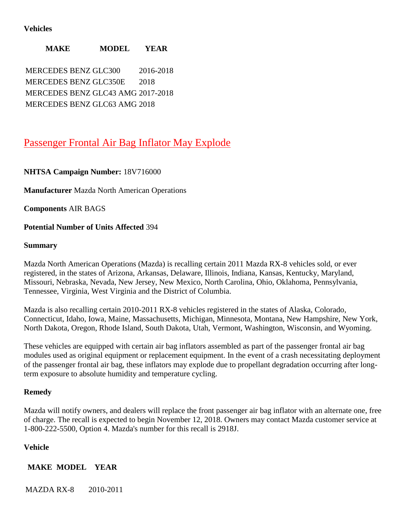### **Vehicles**

**MAKE MODEL YEAR**

MERCEDES BENZ GLC300 2016-2018 MERCEDES BENZ GLC350E 2018 MERCEDES BENZ GLC43 AMG 2017-2018 MERCEDES BENZ GLC63 AMG 2018

# [Passenger Frontal Air Bag Inflator May Explode](https://www.nhtsa.gov/recalls?nhtsaId=18V716#recalls650)

**NHTSA Campaign Number:** 18V716000

**Manufacturer** Mazda North American Operations

**Components** AIR BAGS

#### **Potential Number of Units Affected** 394

#### **Summary**

Mazda North American Operations (Mazda) is recalling certain 2011 Mazda RX-8 vehicles sold, or ever registered, in the states of Arizona, Arkansas, Delaware, Illinois, Indiana, Kansas, Kentucky, Maryland, Missouri, Nebraska, Nevada, New Jersey, New Mexico, North Carolina, Ohio, Oklahoma, Pennsylvania, Tennessee, Virginia, West Virginia and the District of Columbia.

Mazda is also recalling certain 2010-2011 RX-8 vehicles registered in the states of Alaska, Colorado, Connecticut, Idaho, Iowa, Maine, Massachusetts, Michigan, Minnesota, Montana, New Hampshire, New York, North Dakota, Oregon, Rhode Island, South Dakota, Utah, Vermont, Washington, Wisconsin, and Wyoming.

These vehicles are equipped with certain air bag inflators assembled as part of the passenger frontal air bag modules used as original equipment or replacement equipment. In the event of a crash necessitating deployment of the passenger frontal air bag, these inflators may explode due to propellant degradation occurring after longterm exposure to absolute humidity and temperature cycling.

#### **Remedy**

Mazda will notify owners, and dealers will replace the front passenger air bag inflator with an alternate one, free of charge. The recall is expected to begin November 12, 2018. Owners may contact Mazda customer service at 1-800-222-5500, Option 4. Mazda's number for this recall is 2918J.

# **Vehicle**

**MAKE MODEL YEAR**

MAZDA RX-8 2010-2011